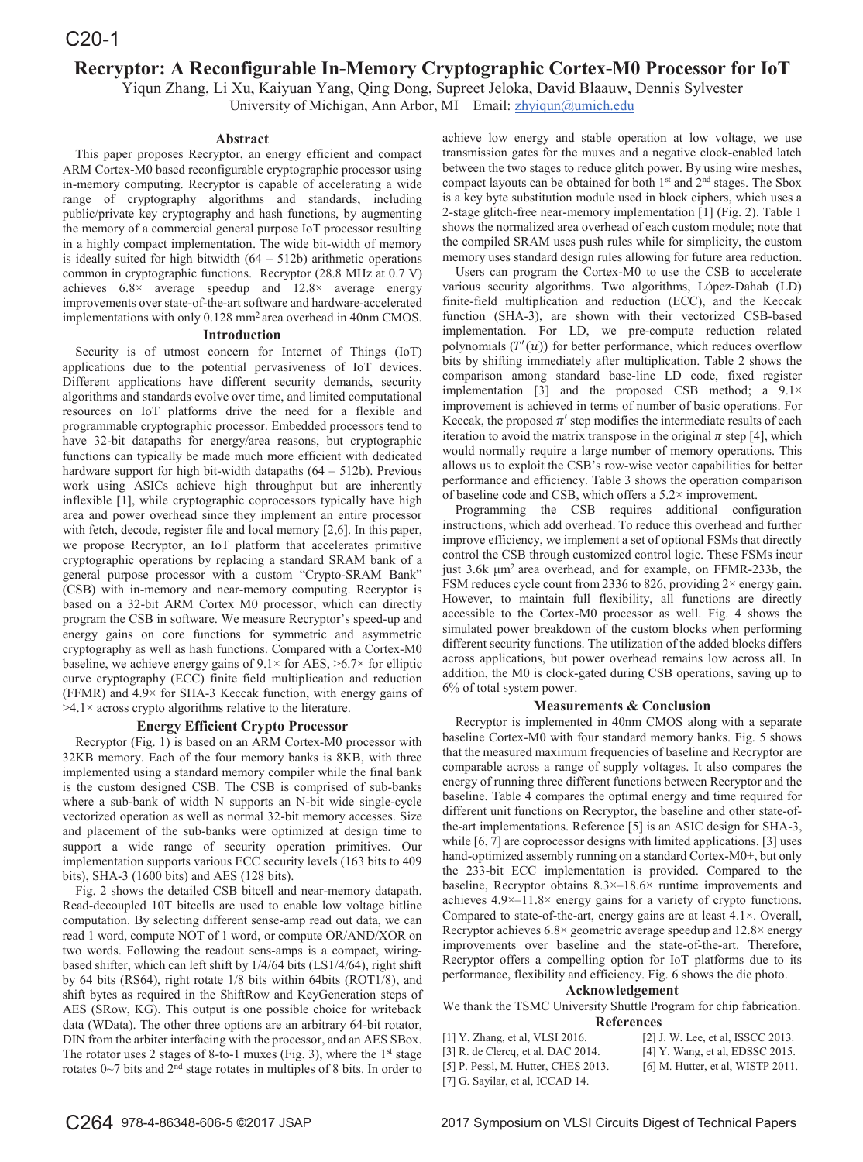# **Recryptor: A Reconfigurable In-Memory Cryptographic Cortex-M0 Processor for IoT**

Yiqun Zhang, Li Xu, Kaiyuan Yang, Qing Dong, Supreet Jeloka, David Blaauw, Dennis Sylvester

University of Michigan, Ann Arbor, MI Email: zhviqun@umich.edu

## **Abstract**

This paper proposes Recryptor, an energy efficient and compact ARM Cortex-M0 based reconfigurable cryptographic processor using in-memory computing. Recryptor is capable of accelerating a wide range of cryptography algorithms and standards, including public/private key cryptography and hash functions, by augmenting the memory of a commercial general purpose IoT processor resulting in a highly compact implementation. The wide bit-width of memory is ideally suited for high bitwidth  $(64 - 512b)$  arithmetic operations common in cryptographic functions. Recryptor (28.8 MHz at 0.7 V) achieves 6.8× average speedup and 12.8× average energy improvements over state-of-the-art software and hardware-accelerated implementations with only 0.128 mm2 area overhead in 40nm CMOS.

#### **Introduction**

Security is of utmost concern for Internet of Things (IoT) applications due to the potential pervasiveness of IoT devices. Different applications have different security demands, security algorithms and standards evolve over time, and limited computational resources on IoT platforms drive the need for a flexible and programmable cryptographic processor. Embedded processors tend to have 32-bit datapaths for energy/area reasons, but cryptographic functions can typically be made much more efficient with dedicated hardware support for high bit-width datapaths  $(64 - 512b)$ . Previous work using ASICs achieve high throughput but are inherently inflexible [1], while cryptographic coprocessors typically have high area and power overhead since they implement an entire processor with fetch, decode, register file and local memory [2,6]. In this paper, we propose Recryptor, an IoT platform that accelerates primitive cryptographic operations by replacing a standard SRAM bank of a general purpose processor with a custom "Crypto-SRAM Bank" (CSB) with in-memory and near-memory computing. Recryptor is based on a 32-bit ARM Cortex M0 processor, which can directly program the CSB in software. We measure Recryptor's speed-up and energy gains on core functions for symmetric and asymmetric cryptography as well as hash functions. Compared with a Cortex-M0 baseline, we achieve energy gains of  $9.1 \times$  for AES,  $>6.7 \times$  for elliptic curve cryptography (ECC) finite field multiplication and reduction (FFMR) and 4.9× for SHA-3 Keccak function, with energy gains of  $>4.1\times$  across crypto algorithms relative to the literature.

## **Energy Efficient Crypto Processor**

Recryptor (Fig. 1) is based on an ARM Cortex-M0 processor with 32KB memory. Each of the four memory banks is 8KB, with three implemented using a standard memory compiler while the final bank is the custom designed CSB. The CSB is comprised of sub-banks where a sub-bank of width N supports an N-bit wide single-cycle vectorized operation as well as normal 32-bit memory accesses. Size and placement of the sub-banks were optimized at design time to support a wide range of security operation primitives. Our implementation supports various ECC security levels (163 bits to 409 bits), SHA-3 (1600 bits) and AES (128 bits).

Fig. 2 shows the detailed CSB bitcell and near-memory datapath. Read-decoupled 10T bitcells are used to enable low voltage bitline computation. By selecting different sense-amp read out data, we can read 1 word, compute NOT of 1 word, or compute OR/AND/XOR on two words. Following the readout sens-amps is a compact, wiringbased shifter, which can left shift by 1/4/64 bits (LS1/4/64), right shift by 64 bits (RS64), right rotate 1/8 bits within 64bits (ROT1/8), and shift bytes as required in the ShiftRow and KeyGeneration steps of AES (SRow, KG). This output is one possible choice for writeback data (WData). The other three options are an arbitrary 64-bit rotator, DIN from the arbiter interfacing with the processor, and an AES SBox. The rotator uses 2 stages of 8-to-1 muxes (Fig. 3), where the  $1<sup>st</sup>$  stage rotates 0~7 bits and 2nd stage rotates in multiples of 8 bits. In order to

achieve low energy and stable operation at low voltage, we use transmission gates for the muxes and a negative clock-enabled latch between the two stages to reduce glitch power. By using wire meshes, compact layouts can be obtained for both  $1<sup>st</sup>$  and  $2<sup>nd</sup>$  stages. The Sbox is a key byte substitution module used in block ciphers, which uses a 2-stage glitch-free near-memory implementation [1] (Fig. 2). Table 1 shows the normalized area overhead of each custom module; note that the compiled SRAM uses push rules while for simplicity, the custom memory uses standard design rules allowing for future area reduction.

Users can program the Cortex-M0 to use the CSB to accelerate various security algorithms. Two algorithms, López-Dahab (LD) finite-field multiplication and reduction (ECC), and the Keccak function (SHA-3), are shown with their vectorized CSB-based implementation. For LD, we pre-compute reduction related polynomials  $(T'(u))$  for better performance, which reduces overflow bits by shifting immediately after multiplication. Table 2 shows the comparison among standard base-line LD code, fixed register implementation [3] and the proposed CSB method; a  $9.1 \times$ improvement is achieved in terms of number of basic operations. For Keccak, the proposed  $\pi'$  step modifies the intermediate results of each iteration to avoid the matrix transpose in the original  $\pi$  step [4], which would normally require a large number of memory operations. This allows us to exploit the CSB's row-wise vector capabilities for better performance and efficiency. Table 3 shows the operation comparison of baseline code and CSB, which offers a 5.2× improvement.

Programming the CSB requires additional configuration instructions, which add overhead. To reduce this overhead and further improve efficiency, we implement a set of optional FSMs that directly control the CSB through customized control logic. These FSMs incur just  $3.6k$   $\mu$ m<sup>2</sup> area overhead, and for example, on FFMR-233b, the FSM reduces cycle count from 2336 to 826, providing  $2\times$  energy gain. However, to maintain full flexibility, all functions are directly accessible to the Cortex-M0 processor as well. Fig. 4 shows the simulated power breakdown of the custom blocks when performing different security functions. The utilization of the added blocks differs across applications, but power overhead remains low across all. In addition, the M0 is clock-gated during CSB operations, saving up to 6% of total system power.

#### **Measurements & Conclusion**

Recryptor is implemented in 40nm CMOS along with a separate baseline Cortex-M0 with four standard memory banks. Fig. 5 shows that the measured maximum frequencies of baseline and Recryptor are comparable across a range of supply voltages. It also compares the energy of running three different functions between Recryptor and the baseline. Table 4 compares the optimal energy and time required for different unit functions on Recryptor, the baseline and other state-ofthe-art implementations. Reference [5] is an ASIC design for SHA-3, while [6, 7] are coprocessor designs with limited applications. [3] uses hand-optimized assembly running on a standard Cortex-M0+, but only the 233-bit ECC implementation is provided. Compared to the baseline, Recryptor obtains 8.3×–18.6× runtime improvements and achieves 4.9×–11.8× energy gains for a variety of crypto functions. Compared to state-of-the-art, energy gains are at least 4.1×. Overall, Recryptor achieves 6.8× geometric average speedup and 12.8× energy improvements over baseline and the state-of-the-art. Therefore, Recryptor offers a compelling option for IoT platforms due to its performance, flexibility and efficiency. Fig. 6 shows the die photo.

### **Acknowledgement**

We thank the TSMC University Shuttle Program for chip fabrication. **References**

| $[1]$ Y. Zhang, et al, VLSI 2016.  | [2] J. W. Lee, et al. ISSCC 2013. |
|------------------------------------|-----------------------------------|
| [3] R. de Clercq, et al. DAC 2014. | $[4]$ Y. Wang, et al, EDSSC 2015. |

- [5] P. Pessl, M. Hutter, CHES 2013. [6] M. Hutter, et al, WISTP 2011.
- [7] G. Sayilar, et al, ICCAD 14.